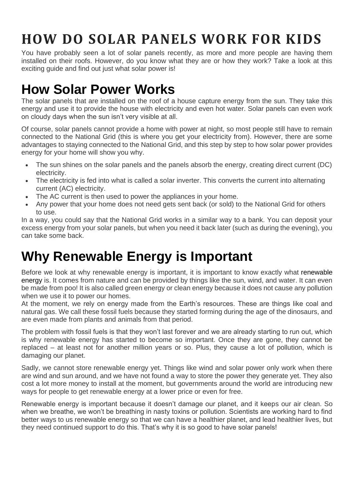# **HOW DO SOLAR PANELS WORK FOR KIDS**

You have probably seen a lot of solar panels recently, as more and more people are having them installed on their roofs. However, do you know what they are or how they work? Take a look at this exciting quide and find out just what solar power is!

## **[How Solar Power Works](https://www.renewableenergyhub.co.uk/main/solar-panels/how-solar-panels-work/)**

The solar panels that are installed on the roof of a house capture energy from the sun. They take this energy and use it to provide the house with electricity and even hot water. Solar panels can even work on cloudy days when the sun isn't very visible at all.

Of course, solar panels cannot provide a home with power at night, so most people still have to remain connected to the National Grid (this is where you get your electricity from). However, there are some advantages to staying connected to the National Grid, and this step by step to how solar power provides energy for your home will show you why.

- The sun shines on the solar panels and the panels absorb the energy, creating direct current (DC) electricity.
- The electricity is fed into what is called a solar inverter. This converts the current into alternating current (AC) electricity.
- The AC current is then used to power the appliances in your home.
- Any power that your home does not need gets sent back (or sold) to the National Grid for others to use.

In a way, you could say that the National Grid works in a similar way to a bank. You can deposit your excess energy from your solar panels, but when you need it back later (such as during the evening), you can take some back.

## **Why Renewable Energy is Important**

Before we look at why renewable energy is important, it is important to know exactly what [renewable](https://www.renewableenergyhub.co.uk/main/renewable-energy-information/)  [energy](https://www.renewableenergyhub.co.uk/main/renewable-energy-information/) is. It comes from nature and can be provided by things like the sun, wind, and water. It can even be made from poo! It is also called green energy or clean energy because it does not cause any pollution when we use it to power our homes.

At the moment, we rely on energy made from the Earth's resources. These are things like coal and natural gas. We call these fossil fuels because they started forming during the age of the dinosaurs, and are even made from plants and animals from that period.

The problem with fossil fuels is that they won't last forever and we are already starting to run out, which is why renewable energy has started to become so important. Once they are gone, they cannot be replaced – at least not for another million years or so. Plus, they cause a lot of pollution, which is damaging our planet.

Sadly, we cannot store renewable energy yet. Things like wind and solar power only work when there are wind and sun around, and we have not found a way to store the power they generate yet. They also cost a lot more money to install at the moment, but governments around the world are introducing new ways for people to get renewable energy at a lower price or even for free.

Renewable energy is important because it doesn't damage our planet, and it keeps our air clean. So when we breathe, we won't be breathing in nasty toxins or pollution. Scientists are working hard to find better ways to us renewable energy so that we can have a healthier planet, and lead healthier lives, but they need continued support to do this. That's why it is so good to have solar panels!